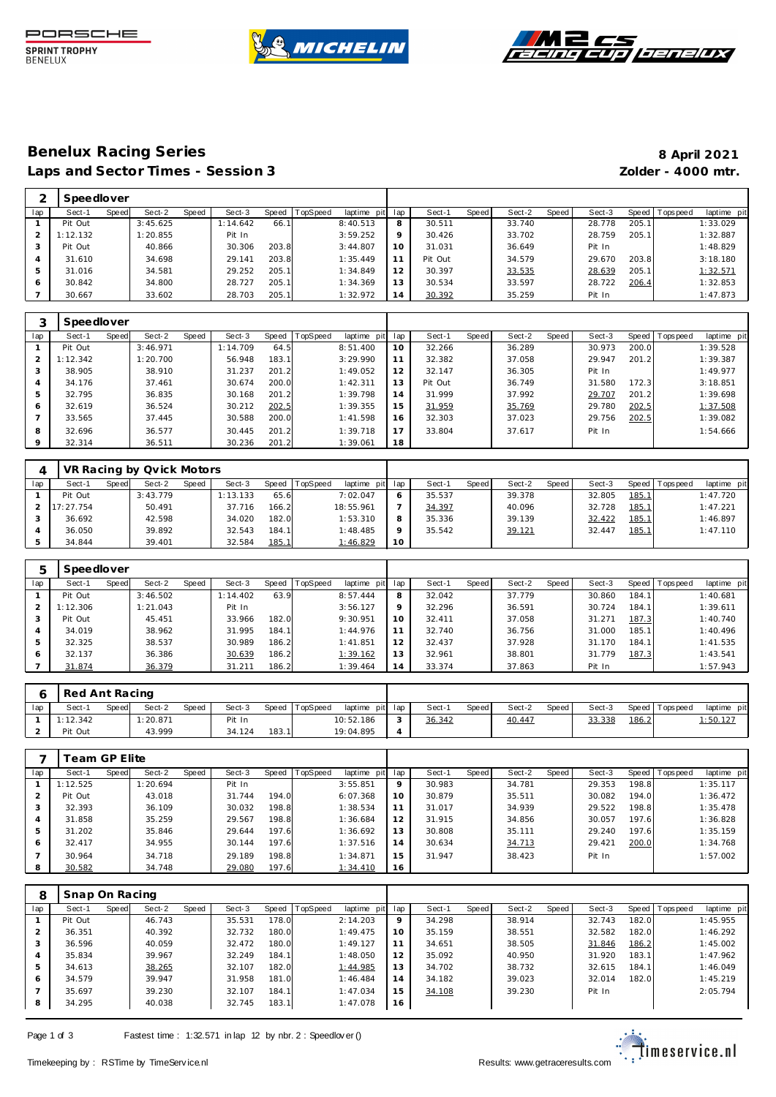





# **Benelux Racing Series 8 April 2021** Laps and Sector Times - Session 3 *Zolder - 4000 mtr.*

|     | Speedlover |       |          |              |          |       |                 |             |                |         |       |        |       |        |         |            |             |
|-----|------------|-------|----------|--------------|----------|-------|-----------------|-------------|----------------|---------|-------|--------|-------|--------|---------|------------|-------------|
| lap | Sect-1     | Speed | Sect-2   | <b>Speed</b> | Sect-3   | Speed | <b>TopSpeed</b> | laptime pit | lap            | Sect-1  | Speed | Sect-2 | Speed | Sect-3 | Speed I | T ops peed | laptime pit |
|     | Pit Out    |       | 3:45.625 |              | 1:14.642 | 66.1  |                 | 8:40.513    | 8              | 30.511  |       | 33.740 |       | 28.778 | 205.1   |            | 1:33.029    |
|     | : 12.132   |       | 1:20.855 |              | Pit In   |       |                 | 3:59.252    | $\circ$        | 30.426  |       | 33.702 |       | 28.759 | 205.1   |            | 1:32.887    |
|     | Pit Out    |       | 40.866   |              | 30.306   | 203.8 |                 | 3:44.807    |                | 31.031  |       | 36.649 |       | Pit In |         |            | 1:48.829    |
|     | 31.610     |       | 34.698   |              | 29.141   | 203.8 |                 | 1:35.449    |                | Pit Out |       | 34.579 |       | 29.670 | 203.8   |            | 3:18.180    |
| 5   | 31.016     |       | 34.581   |              | 29.252   | 205.1 |                 | 1:34.849    | 12             | 30.397  |       | 33.535 |       | 28.639 | 205.1   |            | 1:32.571    |
| 6   | 30.842     |       | 34.800   |              | 28.727   | 205.1 |                 | 1:34.369    | 13             | 30.534  |       | 33.597 |       | 28.722 | 206.4   |            | 1:32.853    |
|     | 30.667     |       | 33.602   |              | 28.703   | 205.1 |                 | 1:32.972    | $\overline{A}$ | 30.392  |       | 35.259 |       | Pit In |         |            | 1:47.873    |

|     | Speedlover |       |          |       |          |           |                 |                |     |         |       |        |       |        |       |                   |             |
|-----|------------|-------|----------|-------|----------|-----------|-----------------|----------------|-----|---------|-------|--------|-------|--------|-------|-------------------|-------------|
| lap | Sect-1     | Speed | Sect-2   | Speed | Sect-3   | Speed   T | <b>TopSpeed</b> | laptime<br>pit | lap | Sect-1  | Speed | Sect-2 | Speed | Sect-3 |       | Speed   Tops peed | laptime pit |
|     | Pit Out    |       | 3:46.971 |       | 1:14.709 | 64.5      |                 | 8:51.400       | 10  | 32.266  |       | 36.289 |       | 30.973 | 200.0 |                   | 1:39.528    |
|     | 1:12.342   |       | 1:20.700 |       | 56.948   | 183.1     |                 | 3:29.990       | -1  | 32.382  |       | 37.058 |       | 29.947 | 201.2 |                   | 1:39.387    |
| 3   | 38.905     |       | 38.910   |       | 31.237   | 201.2     |                 | 1:49.052       | 12  | 32.147  |       | 36.305 |       | Pit In |       |                   | 1:49.977    |
| 4   | 34.176     |       | 37.461   |       | 30.674   | 200.0     |                 | 1:42.311       | 13  | Pit Out |       | 36.749 |       | 31.580 | 172.3 |                   | 3:18.851    |
| 5   | 32.795     |       | 36.835   |       | 30.168   | 201.2     |                 | 1:39.798       | 14  | 31.999  |       | 37.992 |       | 29.707 | 201.2 |                   | 1:39.698    |
| 6   | 32.619     |       | 36.524   |       | 30.212   | 202.5     |                 | 1:39.355       | 15  | 31.959  |       | 35.769 |       | 29.780 | 202.5 |                   | 1:37.508    |
|     | 33.565     |       | 37.445   |       | 30.588   | 200.0     |                 | 1:41.598       | 16  | 32.303  |       | 37.023 |       | 29.756 | 202.5 |                   | 1:39.082    |
| 8   | 32.696     |       | 36.577   |       | 30.445   | 201.2     |                 | 1:39.718       | 17  | 33.804  |       | 37.617 |       | Pit In |       |                   | 1:54.666    |
| 9   | 32.314     |       | 36.511   |       | 30.236   | 201.2     |                 | 1:39.061       | 18  |         |       |        |       |        |       |                   |             |

|     |           |       | VR Racing by Qvick Motors |       |          |              |                |             |         |        |              |        |       |        |              |           |             |
|-----|-----------|-------|---------------------------|-------|----------|--------------|----------------|-------------|---------|--------|--------------|--------|-------|--------|--------------|-----------|-------------|
| lap | Sect-1    | Speed | Sect-2                    | Speed | Sect-3   |              | Speed TopSpeed | laptime pit | lap     | Sect-  | <b>Speed</b> | Sect-2 | Speed | Sect-3 | Speed        | Tops peed | laptime pit |
|     | Pit Out   |       | 3:43.779                  |       | 1:13.133 | 65.6         |                | 7:02.047    | 6       | 35.537 |              | 39.378 |       | 32.805 | <u>185.1</u> |           | 1:47.720    |
|     | 17:27.754 |       | 50.491                    |       | 37.716   | 166.2        |                | 18:55.961   |         | 34.397 |              | 40.096 |       | 32.728 | <u>185.1</u> |           | 1:47.221    |
|     | 36.692    |       | 42.598                    |       | 34.020   | 182.0        |                | 1:53.310    | 8       | 35.336 |              | 39.139 |       | 32.422 | <u>185.1</u> |           | 1:46.897    |
|     | 36.050    |       | 39.892                    |       | 32.543   | 184.1        |                | 1:48.485    | $\circ$ | 35.542 |              | 39.121 |       | 32.447 | <u>185.1</u> |           | 1:47.110    |
|     | 34.844    |       | 39.401                    |       | 32.584   | <u>185.1</u> |                | 1:46.829    | 10      |        |              |        |       |        |              |           |             |

|               | Speedlover |       |          |       |          |       |                |             |                 |        |       |        |       |        |       |           |             |
|---------------|------------|-------|----------|-------|----------|-------|----------------|-------------|-----------------|--------|-------|--------|-------|--------|-------|-----------|-------------|
| lap           | Sect-1     | Speed | Sect-2   | Speed | Sect-3   |       | Speed TopSpeed | laptime pit | lap             | Sect-1 | Speed | Sect-2 | Speed | Sect-3 | Speed | Tops peed | laptime pit |
|               | Pit Out    |       | 3:46.502 |       | 1:14.402 | 63.9  |                | 8:57.444    | 8               | 32.042 |       | 37.779 |       | 30.860 | 184.1 |           | 1:40.681    |
| $\mathcal{P}$ | 1:12.306   |       | 1:21.043 |       | Pit In   |       |                | 3:56.127    | $\mathsf Q$     | 32.296 |       | 36.591 |       | 30.724 | 184.1 |           | 1:39.611    |
|               | Pit Out    |       | 45.451   |       | 33.966   | 182.0 |                | 9:30.951    | 10 <sup>°</sup> | 32.411 |       | 37.058 |       | 31.271 | 187.3 |           | 1:40.740    |
| 4             | 34.019     |       | 38.962   |       | 31.995   | 184.1 |                | 1:44.976    |                 | 32.740 |       | 36.756 |       | 31.000 | 185.1 |           | 1:40.496    |
| .5            | 32.325     |       | 38.537   |       | 30.989   | 186.2 |                | 1: 41.851   | 12              | 32.437 |       | 37.928 |       | 31.170 | 184.1 |           | 1:41.535    |
| O             | 32.137     |       | 36.386   |       | 30.639   | 186.2 |                | 1:39.162    | 13              | 32.961 |       | 38.801 |       | 31.779 | 187.3 |           | 1:43.541    |
|               | 31.874     |       | 36.379   |       | 31.211   | 186.2 |                | 1:39.464    | 14              | 33.374 |       | 37.863 |       | Pit In |       |           | 1:57.943    |

|     | Red Ant Racing |       |          |       |        |       |                |                 |        |       |        |       |        |       |                   |               |
|-----|----------------|-------|----------|-------|--------|-------|----------------|-----------------|--------|-------|--------|-------|--------|-------|-------------------|---------------|
| lap | Sect-1         | Speed | Sect-2   | Speed | Sect-3 |       | Speed TopSpeed | laptime pit lap | Sect-1 | Speed | Sect-2 | Speed | Sect-3 |       | Speed   Tops peed | laptime pit   |
|     | 1:12.342       |       | 1:20.871 |       | Pit In |       |                | 10:52.186       | 36.342 |       | 40.447 |       | 33.338 | 186.2 |                   | $1:50.12^{-}$ |
|     | Pit Out        |       | 43.999   |       | 34.124 | 183.1 |                | 19:04.895       |        |       |        |       |        |       |                   |               |

|                | Team GP Elite |       |          |       |        |       |                 |                 |         |        |       |        |       |        |       |                 |             |
|----------------|---------------|-------|----------|-------|--------|-------|-----------------|-----------------|---------|--------|-------|--------|-------|--------|-------|-----------------|-------------|
| lap            | Sect-1        | Speed | Sect-2   | Speed | Sect-3 | Speed | <b>TopSpeed</b> | laptime pit lap |         | Sect-1 | Speed | Sect-2 | Speed | Sect-3 |       | Speed Tops peed | laptime pit |
|                | 1:12.525      |       | 1:20.694 |       | Pit In |       |                 | 3:55.851        | $\circ$ | 30.983 |       | 34.781 |       | 29.353 | 198.8 |                 | 1:35.117    |
|                | Pit Out       |       | 43.018   |       | 31.744 | 194.0 |                 | 6:07.368        | 10      | 30.879 |       | 35.511 |       | 30.082 | 194.0 |                 | 1:36.472    |
|                | 32.393        |       | 36.109   |       | 30.032 | 198.8 |                 | 1:38.534        | 11      | 31.017 |       | 34.939 |       | 29.522 | 198.8 |                 | 1:35.478    |
| $\overline{4}$ | 31.858        |       | 35.259   |       | 29.567 | 198.8 |                 | 1:36.684        | 12      | 31.915 |       | 34.856 |       | 30.057 | 197.6 |                 | 1:36.828    |
| 5              | 31.202        |       | 35.846   |       | 29.644 | 197.6 |                 | 1:36.692        | 13      | 30.808 |       | 35.111 |       | 29.240 | 197.6 |                 | 1:35.159    |
| 6              | 32.417        |       | 34.955   |       | 30.144 | 197.6 |                 | 1:37.516        | 14      | 30.634 |       | 34.713 |       | 29.421 | 200.0 |                 | 1:34.768    |
|                | 30.964        |       | 34.718   |       | 29.189 | 198.8 |                 | 1:34.871        | 15      | 31.947 |       | 38.423 |       | Pit In |       |                 | 1:57.002    |
| 8              | 30.582        |       | 34.748   |       | 29.080 | 197.6 |                 | 1:34.410        | 16      |        |       |        |       |        |       |                 |             |

| 8   | Snap On Racing |       |        |       |        |       |                |             |         |        |       |        |       |        |       |                 |             |
|-----|----------------|-------|--------|-------|--------|-------|----------------|-------------|---------|--------|-------|--------|-------|--------|-------|-----------------|-------------|
| lap | Sect-1         | Speed | Sect-2 | Speed | Sect-3 |       | Speed TopSpeed | laptime pit | lap     | Sect-1 | Speed | Sect-2 | Speed | Sect-3 |       | Speed Tops peed | laptime pit |
|     | Pit Out        |       | 46.743 |       | 35.531 | 178.0 |                | 2:14.203    | $\circ$ | 34.298 |       | 38.914 |       | 32.743 | 182.0 |                 | 1:45.955    |
|     | 36.351         |       | 40.392 |       | 32.732 | 180.0 |                | 1:49.475    | 10      | 35.159 |       | 38.551 |       | 32.582 | 182.0 |                 | 1:46.292    |
|     | 36.596         |       | 40.059 |       | 32.472 | 180.0 |                | 1:49.127    |         | 34.651 |       | 38.505 |       | 31.846 | 186.2 |                 | 1:45.002    |
| 4   | 35.834         |       | 39.967 |       | 32.249 | 184.1 |                | 1:48.050    | 12      | 35.092 |       | 40.950 |       | 31.920 | 183.1 |                 | 1:47.962    |
| 5   | 34.613         |       | 38.265 |       | 32.107 | 182.0 |                | 1:44.985    | 13      | 34.702 |       | 38.732 |       | 32.615 | 184.1 |                 | 1:46.049    |
| 6   | 34.579         |       | 39.947 |       | 31.958 | 181.0 |                | 1:46.484    | 14      | 34.182 |       | 39.023 |       | 32.014 | 182.0 |                 | 1:45.219    |
|     | 35.697         |       | 39.230 |       | 32.107 | 184.1 |                | 1:47.034    | 15      | 34.108 |       | 39.230 |       | Pit In |       |                 | 2:05.794    |
| 8   | 34.295         |       | 40.038 |       | 32.745 | 183.1 |                | 1:47.078    | 16      |        |       |        |       |        |       |                 |             |

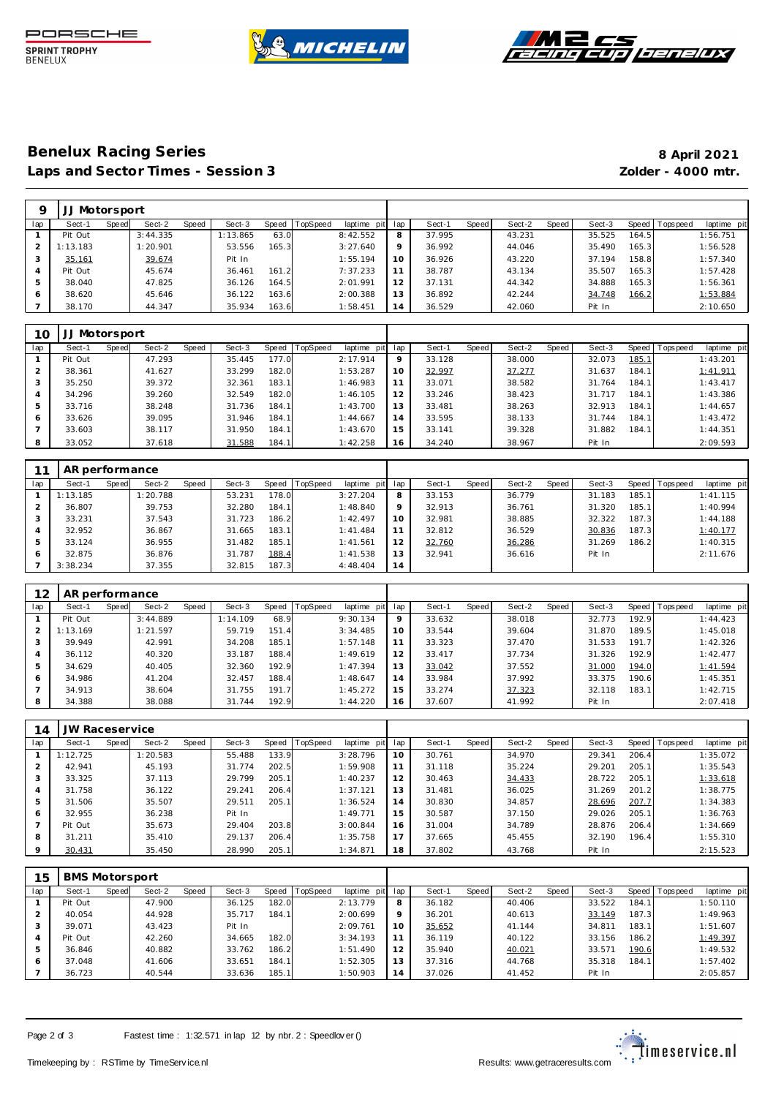





# **Benelux Racing Series 8 April 2021** Laps and Sector Times - Session 3 *Zolder - 4000 mtr.*

|     | JJ Motorsport |       |          |       |          |       |          |             |     |        |              |        |       |        |       |                   |             |
|-----|---------------|-------|----------|-------|----------|-------|----------|-------------|-----|--------|--------------|--------|-------|--------|-------|-------------------|-------------|
| lap | Sect-1        | Speed | Sect-2   | Speed | Sect-3   | Speed | TopSpeed | laptime pit | lap | Sect-1 | <b>Speed</b> | Sect-2 | Speed | Sect-3 |       | Speed   Tops peed | laptime pit |
|     | Pit Out       |       | 3:44.335 |       | 1:13.865 | 63.0  |          | 8:42.552    | 8   | 37.995 |              | 43.231 |       | 35.525 | 164.5 |                   | 1:56.751    |
|     | 1:13.183      |       | 1:20.901 |       | 53.556   | 165.3 |          | 3:27.640    | 9   | 36.992 |              | 44.046 |       | 35.490 | 165.3 |                   | 1:56.528    |
| 3   | 35.161        |       | 39.674   |       | Pit In   |       |          | 1:55.194    | 10  | 36.926 |              | 43.220 |       | 37.194 | 158.8 |                   | 1:57.340    |
| 4   | Pit Out       |       | 45.674   |       | 36.461   | 161.2 |          | 7:37.233    | 11  | 38.787 |              | 43.134 |       | 35.507 | 165.3 |                   | 1:57.428    |
| 5   | 38.040        |       | 47.825   |       | 36.126   | 164.5 |          | 2:01.991    | 12  | 37.131 |              | 44.342 |       | 34.888 | 165.3 |                   | 1:56.361    |
| 6   | 38.620        |       | 45.646   |       | 36.122   | 163.6 |          | 2:00.388    | 13  | 36.892 |              | 42.244 |       | 34.748 | 166.2 |                   | 1:53.884    |
|     | 38.170        |       | 44.347   |       | 35.934   | 163.6 |          | 1:58.451    | 14  | 36.529 |              | 42.060 |       | Pit In |       |                   | 2:10.650    |

| 10  |         | Motorsport |        |       |        |       |          |             |         |        |       |        |       |        |       |                 |             |
|-----|---------|------------|--------|-------|--------|-------|----------|-------------|---------|--------|-------|--------|-------|--------|-------|-----------------|-------------|
| lap | Sect-1  | Speed      | Sect-2 | Speed | Sect-3 | Speed | TopSpeed | laptime pit | lap     | Sect-1 | Speed | Sect-2 | Speed | Sect-3 |       | Speed Tops peed | laptime pit |
|     | Pit Out |            | 47.293 |       | 35.445 | 177.0 |          | 2:17.914    | $\circ$ | 33.128 |       | 38.000 |       | 32.073 | 185.1 |                 | 1:43.201    |
|     | 38.361  |            | 41.627 |       | 33.299 | 182.0 |          | 1:53.287    | 10      | 32.997 |       | 37.277 |       | 31.637 | 184.1 |                 | 1:41.911    |
|     | 35.250  |            | 39.372 |       | 32.361 | 183.1 |          | 1:46.983    |         | 33.071 |       | 38.582 |       | 31.764 | 184.1 |                 | 1:43.417    |
| 4   | 34.296  |            | 39.260 |       | 32.549 | 182.0 |          | 1:46.105    | 12      | 33.246 |       | 38.423 |       | 31.717 | 184.1 |                 | 1:43.386    |
| 5   | 33.716  |            | 38.248 |       | 31.736 | 184.1 |          | 1:43.700    | 13      | 33.481 |       | 38.263 |       | 32.913 | 184.1 |                 | 1:44.657    |
| 6   | 33.626  |            | 39.095 |       | 31.946 | 184.1 |          | 1:44.667    | 14      | 33.595 |       | 38.133 |       | 31.744 | 184.1 |                 | 1:43.472    |
|     | 33.603  |            | 38.117 |       | 31.950 | 184.1 |          | 1:43.670    | 15      | 33.141 |       | 39.328 |       | 31.882 | 184.1 |                 | 1:44.351    |
| -8  | 33.052  |            | 37.618 |       | 31.588 | 184.1 |          | 1:42.258    | 16      | 34.240 |       | 38.967 |       | Pit In |       |                 | 2:09.593    |

|     | AR performance |       |          |       |        |       |          |             |     |        |       |        |       |        |       |            |             |
|-----|----------------|-------|----------|-------|--------|-------|----------|-------------|-----|--------|-------|--------|-------|--------|-------|------------|-------------|
| lap | Sect-1         | Speed | Sect-2   | Speed | Sect-3 | Speed | TopSpeed | laptime pit | lap | Sect-1 | Speed | Sect-2 | Speed | Sect-3 | Speed | T ops peed | laptime pit |
|     | 1:13.185       |       | 1:20.788 |       | 53.231 | 178.0 |          | 3:27.204    | 8   | 33.153 |       | 36.779 |       | 31.183 | 185.1 |            | 1: 41.115   |
|     | 36.807         |       | 39.753   |       | 32.280 | 184.1 |          | 1:48.840    | 9   | 32.913 |       | 36.761 |       | 31.320 | 185.1 |            | 1:40.994    |
|     | 33.231         |       | 37.543   |       | 31.723 | 186.2 |          | 1:42.497    | 10  | 32.981 |       | 38.885 |       | 32.322 | 187.3 |            | 1:44.188    |
|     | 32.952         |       | 36.867   |       | 31.665 | 183.1 |          | 1:41.484    | 11  | 32.812 |       | 36.529 |       | 30.836 | 187.3 |            | 1:40.177    |
| 5   | 33.124         |       | 36.955   |       | 31.482 | 185.1 |          | 1: 41.561   | 12  | 32.760 |       | 36.286 |       | 31.269 | 186.2 |            | 1:40.315    |
| 6   | 32.875         |       | 36.876   |       | 31.787 | 188.4 |          | 1:41.538    | 13  | 32.941 |       | 36.616 |       | Pit In |       |            | 2:11.676    |
|     | 3:38.234       |       | 37.355   |       | 32.815 | 187.3 |          | 4:48.404    | 14  |        |       |        |       |        |       |            |             |

| 12            |          | AR performance<br>Speed   TopSpeed |          |       |          |       |  |             |         |        |              |        |       |              |       |                   |             |
|---------------|----------|------------------------------------|----------|-------|----------|-------|--|-------------|---------|--------|--------------|--------|-------|--------------|-------|-------------------|-------------|
| lap           | Sect-1   | Speed                              | Sect-2   | Speed | Sect-3   |       |  | laptime pit | lap     | Sect-1 | <b>Speed</b> | Sect-2 | Speed | Sect-3       |       | Speed   Tops peed | laptime pit |
|               | Pit Out  |                                    | 3:44.889 |       | 1:14.109 | 68.9  |  | 9:30.134    | $\circ$ | 33.632 |              | 38.018 |       | 32.773       | 192.9 |                   | 1:44.423    |
| $\mathcal{P}$ | 1:13.169 |                                    | 1:21.597 |       | 59.719   | 151.4 |  | 3:34.485    | 10      | 33.544 |              | 39.604 |       | 31.870       | 189.5 |                   | 1:45.018    |
|               | 39.949   |                                    | 42.991   |       | 34.208   | 185.1 |  | 1:57.148    | 11      | 33.323 |              | 37.470 |       | 31.533       | 191.7 |                   | 1:42.326    |
| 4             | 36.112   |                                    | 40.320   |       | 33.187   | 188.4 |  | 1:49.619    | 12      | 33.417 |              | 37.734 |       | 31.326       | 192.9 |                   | 1:42.477    |
| 5             | 34.629   |                                    | 40.405   |       | 32.360   | 192.9 |  | 1:47.394    | 13      | 33.042 |              | 37.552 |       | 31.000       | 194.0 |                   | 1:41.594    |
| 6             | 34.986   |                                    | 41.204   |       | 32.457   | 188.4 |  | 1:48.647    | 14      | 33.984 |              | 37.992 |       | 33.375       | 190.6 |                   | 1:45.351    |
|               | 34.913   |                                    | 38.604   |       | 31.755   | 191.7 |  | 1:45.272    | 15      | 33.274 |              | 37.323 |       | 32.7<br>.118 | 183.1 |                   | 1:42.715    |
| 8             | 34.388   |                                    | 38.088   |       | 31.744   | 192.9 |  | 1:44.220    | 16      | 37.607 |              | 41.992 |       | Pit In       |       |                   | 2:07.418    |

| 14             | JW Raceservice |       |          |       |        |       |          |             |     |        |       |        |       |        |       |                   |             |
|----------------|----------------|-------|----------|-------|--------|-------|----------|-------------|-----|--------|-------|--------|-------|--------|-------|-------------------|-------------|
| lap            | Sect-1         | Speed | Sect-2   | Speed | Sect-3 | Speed | TopSpeed | laptime pit | lap | Sect-1 | Speed | Sect-2 | Speed | Sect-3 |       | Speed   Tops peed | laptime pit |
|                | 1:12.725       |       | 1:20.583 |       | 55.488 | 133.9 |          | 3:28.796    | 10  | 30.761 |       | 34.970 |       | 29.341 | 206.4 |                   | 1:35.072    |
|                | 42.941         |       | 45.193   |       | 31.774 | 202.5 |          | 1:59.908    | 11  | 31.118 |       | 35.224 |       | 29.201 | 205.1 |                   | 1:35.543    |
| 3              | 33.325         |       | 37.113   |       | 29.799 | 205.1 |          | 1:40.237    | 12  | 30.463 |       | 34.433 |       | 28.722 | 205.1 |                   | 1:33.618    |
| $\overline{4}$ | 31.758         |       | 36.122   |       | 29.241 | 206.4 |          | 1:37.121    | 13  | 31.481 |       | 36.025 |       | 31.269 | 201.2 |                   | 1:38.775    |
| 5              | 31.506         |       | 35.507   |       | 29.511 | 205.1 |          | 1:36.524    | 14  | 30.830 |       | 34.857 |       | 28.696 | 207.7 |                   | 1:34.383    |
| 6              | 32.955         |       | 36.238   |       | Pit In |       |          | 1:49.771    | 15  | 30.587 |       | 37.150 |       | 29.026 | 205.1 |                   | 1:36.763    |
|                | Pit Out        |       | 35.673   |       | 29.404 | 203.8 |          | 3:00.844    | 16  | 31.004 |       | 34.789 |       | 28.876 | 206.4 |                   | 1:34.669    |
| 8              | 31.211         |       | 35.410   |       | 29.137 | 206.4 |          | 1:35.758    | 17  | 37.665 |       | 45.455 |       | 32.190 | 196.4 |                   | 1:55.310    |
| $\circ$        | 30.431         |       | 35.450   |       | 28.990 | 205.1 |          | 1:34.871    | 18  | 37.802 |       | 43.768 |       | Pit In |       |                   | 2:15.523    |

| 15  |         | <b>BMS Motorsport</b> |        |       |        |       |          |             |         |        |       |        |       |        |         |           |             |
|-----|---------|-----------------------|--------|-------|--------|-------|----------|-------------|---------|--------|-------|--------|-------|--------|---------|-----------|-------------|
| lap | Sect-1  | Speed                 | Sect-2 | Speed | Sect-3 | Speed | TopSpeed | laptime pit | lap     | Sect-1 | Speed | Sect-2 | Speed | Sect-3 | Speed I | Tops peed | laptime pit |
|     | Pit Out |                       | 47.900 |       | 36.125 | 182.0 |          | 2:13.779    | 8       | 36.182 |       | 40.406 |       | 33.522 | 184.1   |           | 1:50.110    |
|     | 40.054  |                       | 44.928 |       | 35.717 | 184.1 |          | 2:00.699    | $\circ$ | 36.201 |       | 40.613 |       | 33.149 | 187.3   |           | 1:49.963    |
|     | 39.071  |                       | 43.423 |       | Pit In |       |          | 2:09.761    | 10      | 35.652 |       | 41.144 |       | 34.811 | 183.1   |           | 1:51.607    |
| 4   | Pit Out |                       | 42.260 |       | 34.665 | 182.0 |          | 3:34.193    | 11      | 36.119 |       | 40.122 |       | 33.156 | 186.2   |           | 1:49.397    |
| 5   | 36.846  |                       | 40.882 |       | 33.762 | 186.2 |          | 1:51.490    | 12      | 35.940 |       | 40.021 |       | 33.571 | 190.6   |           | 1:49.532    |
| 6   | 37.048  |                       | 41.606 |       | 33.651 | 184.1 |          | 1:52.305    | 13      | 37.316 |       | 44.768 |       | 35.318 | 184.1   |           | 1:57.402    |
|     | 36.723  |                       | 40.544 |       | 33.636 | 185.1 |          | 1:50.903    | 14      | 37.026 |       | 41.452 |       | Pit In |         |           | 2:05.857    |